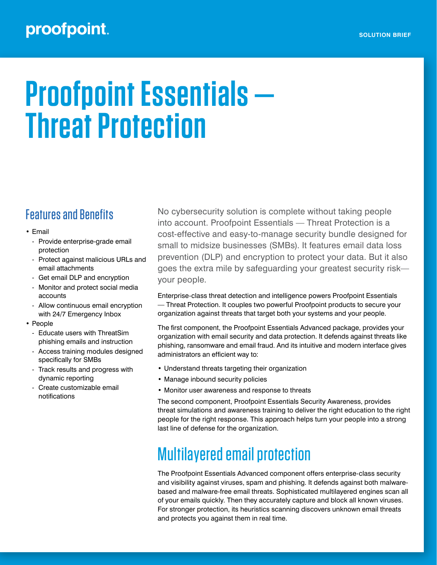## proofpoint.

# **Proofpoint Essentials — Threat Protection**

#### Features and Benefits

- Email
	- Provide enterprise-grade email protection
	- Protect against malicious URLs and email attachments
	- Get email DLP and encryption
	- Monitor and protect social media accounts
	- Allow continuous email encryption with 24/7 Emergency Inbox
- People
	- Educate users with ThreatSim phishing emails and instruction
	- Access training modules designed specifically for SMBs
	- Track results and progress with dynamic reporting
	- Create customizable email notifications

No cybersecurity solution is complete without taking people into account. Proofpoint Essentials — Threat Protection is a cost-effective and easy-to-manage security bundle designed for small to midsize businesses (SMBs). It features email data loss prevention (DLP) and encryption to protect your data. But it also goes the extra mile by safeguarding your greatest security risk your people.

Enterprise-class threat detection and intelligence powers Proofpoint Essentials — Threat Protection. It couples two powerful Proofpoint products to secure your organization against threats that target both your systems and your people.

The first component, the Proofpoint Essentials Advanced package, provides your organization with email security and data protection. It defends against threats like phishing, ransomware and email fraud. And its intuitive and modern interface gives administrators an efficient way to:

- Understand threats targeting their organization
- Manage inbound security policies
- Monitor user awareness and response to threats

The second component, Proofpoint Essentials Security Awareness, provides threat simulations and awareness training to deliver the right education to the right people for the right response. This approach helps turn your people into a strong last line of defense for the organization.

# Multilayered email protection

The Proofpoint Essentials Advanced component offers enterprise-class security and visibility against viruses, spam and phishing. It defends against both malwarebased and malware-free email threats. Sophisticated multilayered engines scan all of your emails quickly. Then they accurately capture and block all known viruses. For stronger protection, its heuristics scanning discovers unknown email threats and protects you against them in real time.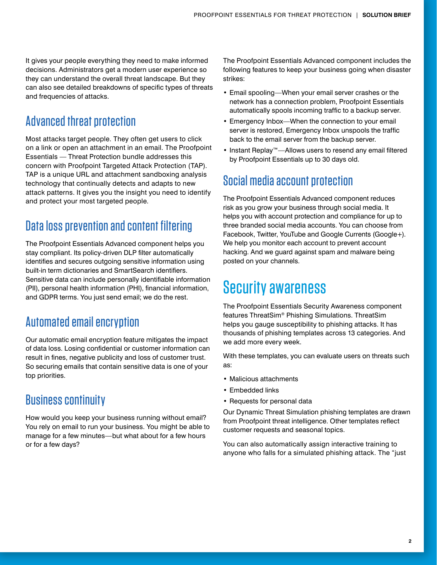It gives your people everything they need to make informed decisions. Administrators get a modern user experience so they can understand the overall threat landscape. But they can also see detailed breakdowns of specific types of threats and frequencies of attacks.

### Advanced threat protection

Most attacks target people. They often get users to click on a link or open an attachment in an email. The Proofpoint Essentials — Threat Protection bundle addresses this concern with Proofpoint Targeted Attack Protection (TAP). TAP is a unique URL and attachment sandboxing analysis technology that continually detects and adapts to new attack patterns. It gives you the insight you need to identify and protect your most targeted people.

### Data loss prevention and content filtering

The Proofpoint Essentials Advanced component helps you stay compliant. Its policy-driven DLP filter automatically identifies and secures outgoing sensitive information using built-in term dictionaries and SmartSearch identifiers. Sensitive data can include personally identifiable information (PII), personal health information (PHI), financial information, and GDPR terms. You just send email; we do the rest.

#### Automated email encryption

Our automatic email encryption feature mitigates the impact of data loss. Losing confidential or customer information can result in fines, negative publicity and loss of customer trust. So securing emails that contain sensitive data is one of your top priorities.

#### Business continuity

How would you keep your business running without email? You rely on email to run your business. You might be able to manage for a few minutes—but what about for a few hours or for a few days?

The Proofpoint Essentials Advanced component includes the following features to keep your business going when disaster strikes:

- Email spooling—When your email server crashes or the network has a connection problem, Proofpoint Essentials automatically spools incoming traffic to a backup server.
- Emergency Inbox—When the connection to your email server is restored, Emergency Inbox unspools the traffic back to the email server from the backup server.
- Instant Replay™—Allows users to resend any email filtered by Proofpoint Essentials up to 30 days old.

#### Social media account protection

The Proofpoint Essentials Advanced component reduces risk as you grow your business through social media. It helps you with account protection and compliance for up to three branded social media accounts. You can choose from Facebook, Twitter, YouTube and Google Currents (Google+). We help you monitor each account to prevent account hacking. And we guard against spam and malware being posted on your channels.

## Security awareness

The Proofpoint Essentials Security Awareness component features ThreatSim® Phishing Simulations. ThreatSim helps you gauge susceptibility to phishing attacks. It has thousands of phishing templates across 13 categories. And we add more every week.

With these templates, you can evaluate users on threats such as:

- Malicious attachments
- Embedded links
- Requests for personal data

Our Dynamic Threat Simulation phishing templates are drawn from Proofpoint threat intelligence. Other templates reflect customer requests and seasonal topics.

You can also automatically assign interactive training to anyone who falls for a simulated phishing attack. The "just